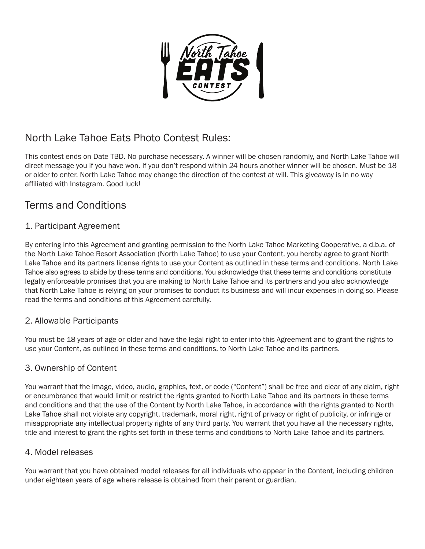

# North Lake Tahoe Eats Photo Contest Rules:

This contest ends on Date TBD. No purchase necessary. A winner will be chosen randomly, and North Lake Tahoe will direct message you if you have won. If you don't respond within 24 hours another winner will be chosen. Must be 18 or older to enter. North Lake Tahoe may change the direction of the contest at will. This giveaway is in no way affiliated with Instagram. Good luck!

## Terms and Conditions

## 1. Participant Agreement

By entering into this Agreement and granting permission to the North Lake Tahoe Marketing Cooperative, a d.b.a. of the North Lake Tahoe Resort Association (North Lake Tahoe) to use your Content, you hereby agree to grant North Lake Tahoe and its partners license rights to use your Content as outlined in these terms and conditions. North Lake Tahoe also agrees to abide by these terms and conditions. You acknowledge that these terms and conditions constitute legally enforceable promises that you are making to North Lake Tahoe and its partners and you also acknowledge that North Lake Tahoe is relying on your promises to conduct its business and will incur expenses in doing so. Please read the terms and conditions of this Agreement carefully.

## 2. Allowable Participants

You must be 18 years of age or older and have the legal right to enter into this Agreement and to grant the rights to use your Content, as outlined in these terms and conditions, to North Lake Tahoe and its partners.

## 3. Ownership of Content

You warrant that the image, video, audio, graphics, text, or code ("Content") shall be free and clear of any claim, right or encumbrance that would limit or restrict the rights granted to North Lake Tahoe and its partners in these terms and conditions and that the use of the Content by North Lake Tahoe, in accordance with the rights granted to North Lake Tahoe shall not violate any copyright, trademark, moral right, right of privacy or right of publicity, or infringe or misappropriate any intellectual property rights of any third party. You warrant that you have all the necessary rights, title and interest to grant the rights set forth in these terms and conditions to North Lake Tahoe and its partners.

## 4. Model releases

You warrant that you have obtained model releases for all individuals who appear in the Content, including children under eighteen years of age where release is obtained from their parent or guardian.